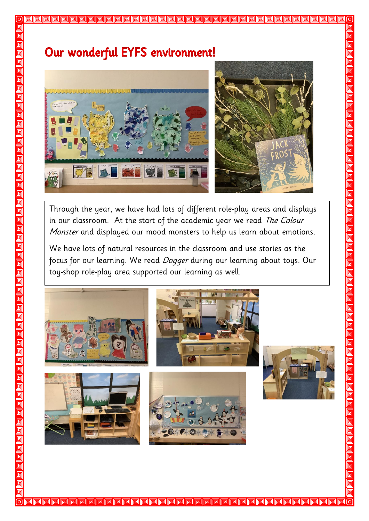## Our wonderful EYFS environment!

回 叵 回 回 叵

回 回  $\overline{\mathbb{F}}$  $\overline{\mathsf{G}}$  $\overline{\mathsf{G}}$ 回 画 呵

回 回 回 回 叵

叵 回 回 回 **G** 回



Through the year, we have had lots of different role-play areas and displays in our classroom. At the start of the academic year we read The Colour Monster and displayed our mood monsters to help us learn about emotions.

We have lots of natural resources in the classroom and use stories as the focus for our learning. We read *Dogger* during our learning about toys. Our toy-shop role-play area supported our learning as well.



alalalalalalala



**nn** dhan an an a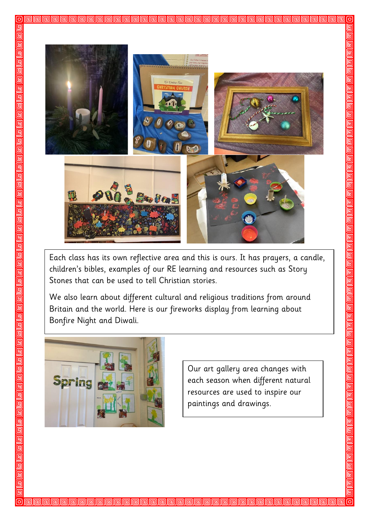

Each class has its own reflective area and this is ours. It has prayers, a candle, children's bibles, examples of our RE learning and resources such as Story Stones that can be used to tell Christian stories.

We also learn about different cultural and religious traditions from around Britain and the world. Here is our fireworks display from learning about Bonfire Night and Diwali.

**PPPPPPPPPPPPPPPPPPP**PPPPP



回 同

叵 回 回 画 回

呞 回 回 回 回 回 回 <u>g</u> 靣 回 回 回 回 回 回 回 回

回 回 回 **G** 回

回

Our art gallery area changes with each season when different natural resources are used to inspire our paintings and drawings.